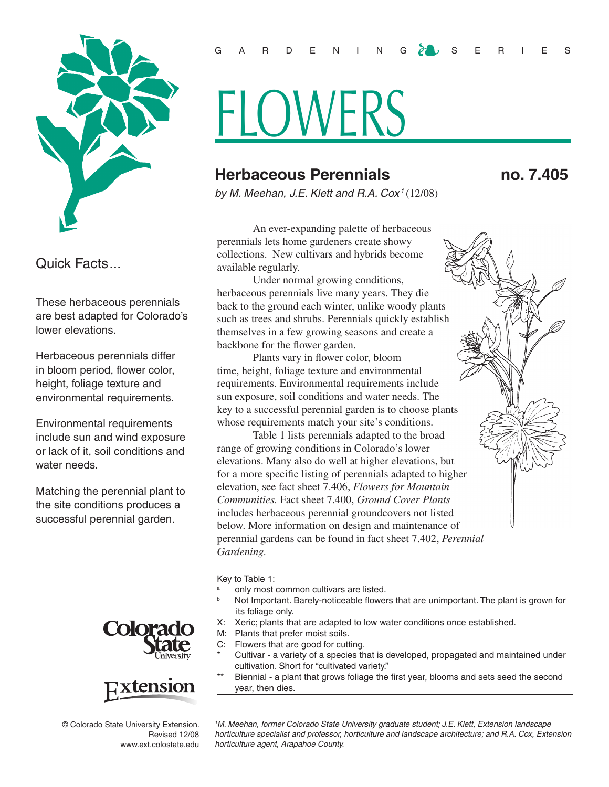

Quick Facts...

These herbaceous perennials are best adapted for Colorado's lower elevations.

Herbaceous perennials differ in bloom period, flower color, height, foliage texture and environmental requirements.

Environmental requirements include sun and wind exposure or lack of it, soil conditions and water needs.

Matching the perennial plant to the site conditions produces a successful perennial garden.





© Colorado State University Extension. Revised 12/08 www.ext.colostate.edu

## GARDENING  $\delta$  up is series

## FLOWERS

## **Herbaceous Perennials no. 7.405**

*by M. Meehan, J.E. Klett and R.A. Cox <sup>1</sup>*(12/08)

An ever-expanding palette of herbaceous perennials lets home gardeners create showy collections. New cultivars and hybrids become available regularly.

Under normal growing conditions, herbaceous perennials live many years. They die back to the ground each winter, unlike woody plants such as trees and shrubs. Perennials quickly establish themselves in a few growing seasons and create a backbone for the flower garden.

Plants vary in flower color, bloom time, height, foliage texture and environmental requirements. Environmental requirements include sun exposure, soil conditions and water needs. The key to a successful perennial garden is to choose plants whose requirements match your site's conditions.

Table 1 lists perennials adapted to the broad range of growing conditions in Colorado's lower elevations. Many also do well at higher elevations, but for a more specific listing of perennials adapted to higher elevation, see fact sheet 7.406, *Flowers for Mountain Communities.* Fact sheet 7.400, *Ground Cover Plants* includes herbaceous perennial groundcovers not listed below. More information on design and maintenance of perennial gardens can be found in fact sheet 7.402, *Perennial Gardening.* 

Key to Table 1:

- <sup>a</sup> only most common cultivars are listed.
- Not Important. Barely-noticeable flowers that are unimportant. The plant is grown for its foliage only.
- X: Xeric; plants that are adapted to low water conditions once established.
- M: Plants that prefer moist soils.
- C: Flowers that are good for cutting.
- Cultivar a variety of a species that is developed, propagated and maintained under cultivation. Short for "cultivated variety."
- Biennial a plant that grows foliage the first year, blooms and sets seed the second year, then dies.

*1 M. Meehan, former Colorado State University graduate student; J.E. Klett, Extension landscape horticulture specialist and professor, horticulture and landscape architecture; and R.A. Cox, Extension horticulture agent, Arapahoe County.*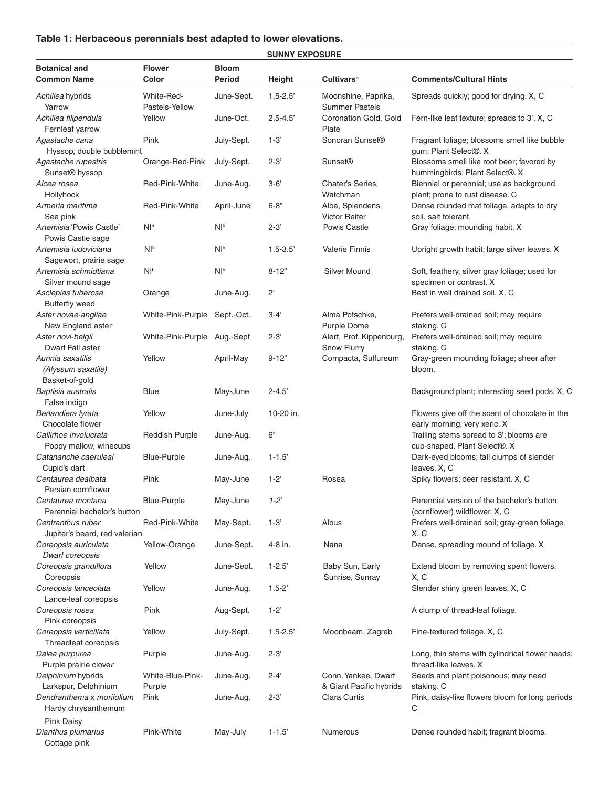## **Table 1: Herbaceous perennials best adapted to lower elevations.**

|                                                                          |                              |                               | <b>SUNNY EXPOSURE</b> |                                              |                                                                                |  |
|--------------------------------------------------------------------------|------------------------------|-------------------------------|-----------------------|----------------------------------------------|--------------------------------------------------------------------------------|--|
| <b>Botanical and</b><br><b>Common Name</b>                               | <b>Flower</b><br>Color       | <b>Bloom</b><br><b>Period</b> | Height                | <b>Cultivars<sup>a</sup></b>                 | <b>Comments/Cultural Hints</b>                                                 |  |
| Achillea hybrids<br>Yarrow                                               | White-Red-<br>Pastels-Yellow | June-Sept.                    | $1.5 - 2.5$           | Moonshine, Paprika,<br><b>Summer Pastels</b> | Spreads quickly; good for drying. X, C                                         |  |
| Achillea filipendula<br>Fernleaf yarrow                                  | Yellow                       | June-Oct.                     | $2.5 - 4.5$           | Coronation Gold, Gold<br>Plate               | Fern-like leaf texture; spreads to 3'. X, C                                    |  |
| Agastache cana<br>Hyssop, double bubblemint                              | Pink                         | July-Sept.                    | $1-3'$                | Sonoran Sunset <sup>®</sup>                  | Fragrant foliage; blossoms smell like bubble<br>gum; Plant Select®. X          |  |
| Agastache rupestris<br>Sunset <sup>®</sup> hyssop                        | Orange-Red-Pink              | July-Sept.                    | $2 - 3'$              | <b>Sunset®</b>                               | Blossoms smell like root beer; favored by<br>hummingbirds; Plant Select®. X    |  |
| Alcea rosea<br>Hollyhock                                                 | Red-Pink-White               | June-Aug.                     | $3 - 6'$              | Chater's Series.<br>Watchman                 | Biennial or perennial; use as background<br>plant; prone to rust disease. C    |  |
| Armeria maritima<br>Sea pink                                             | Red-Pink-White               | April-June                    | $6 - 8"$              | Alba, Splendens,<br><b>Victor Reiter</b>     | Dense rounded mat foliage, adapts to dry<br>soil, salt tolerant.               |  |
| Artemisia 'Powis Castle'<br>Powis Castle sage                            | Nl <sub>b</sub>              | N <sup>b</sup>                | $2 - 3'$              | <b>Powis Castle</b>                          | Gray foliage; mounding habit. X                                                |  |
| Artemisia ludoviciana<br>Sagewort, prairie sage                          | Nl <sub>b</sub>              | N <sup>b</sup>                | $1.5 - 3.5'$          | <b>Valerie Finnis</b>                        | Upright growth habit; large silver leaves. X                                   |  |
| Artemisia schmidtiana<br>Silver mound sage                               | N <sup>b</sup>               | Nl <sub>b</sub>               | $8 - 12"$             | <b>Silver Mound</b>                          | Soft, feathery, silver gray foliage; used for<br>specimen or contrast. X       |  |
| Asclepias tuberosa<br><b>Butterfly weed</b>                              | Orange                       | June-Aug.                     | $2^{\circ}$           |                                              | Best in well drained soil. X, C                                                |  |
| Aster novae-angliae<br>New England aster                                 | White-Pink-Purple            | Sept.-Oct.                    | $3 - 4'$              | Alma Potschke,<br>Purple Dome                | Prefers well-drained soil; may require<br>staking. C                           |  |
| Aster novi-belgii<br>Dwarf Fall aster                                    | White-Pink-Purple            | Aug.-Sept                     | $2 - 3'$              | Alert, Prof. Kippenburg,<br>Snow Flurry      | Prefers well-drained soil; may require<br>staking. C                           |  |
| Aurinia saxatilis<br>(Alyssum saxatile)<br>Basket-of-gold                | Yellow                       | April-May                     | $9 - 12"$             | Compacta, Sulfureum                          | Gray-green mounding foliage; sheer after<br>bloom.                             |  |
| Baptisia australis<br>False indigo                                       | <b>Blue</b>                  | May-June                      | $2 - 4.5'$            |                                              | Background plant; interesting seed pods. X, C                                  |  |
| Berlandiera lyrata<br>Chocolate flower                                   | Yellow                       | June-July                     | 10-20 in.             |                                              | Flowers give off the scent of chocolate in the<br>early morning; very xeric. X |  |
| Callirhoe involucrata<br>Poppy mallow, winecups                          | <b>Reddish Purple</b>        | June-Aug.                     | 6"                    |                                              | Trailing stems spread to 3'; blooms are<br>cup-shaped. Plant Select®. X        |  |
| Catananche caeruleal<br>Cupid's dart                                     | <b>Blue-Purple</b>           | June-Aug.                     | $1 - 1.5$             |                                              | Dark-eyed blooms; tall clumps of slender<br>leaves. X, C                       |  |
| Centaurea dealbata<br>Persian cornflower                                 | Pink                         | May-June                      | $1-2"$                | Rosea                                        | Spiky flowers; deer resistant. X, C                                            |  |
| Centaurea montana<br>Perennial bachelor's button                         | <b>Blue-Purple</b>           | May-June                      | $1 - 2^r$             |                                              | Perennial version of the bachelor's button<br>(cornflower) wildflower. X, C    |  |
| Centranthus ruber<br>Jupiter's beard, red valerian                       | Red-Pink-White               | May-Sept.                     | $1 - 3'$              | Albus                                        | Prefers well-drained soil; gray-green foliage.<br>X, C                         |  |
| Coreopsis auriculata<br>Dwarf coreopsis                                  | Yellow-Orange                | June-Sept.                    | 4-8 in.               | Nana                                         | Dense, spreading mound of foliage. X                                           |  |
| Coreopsis grandiflora<br>Coreopsis                                       | Yellow                       | June-Sept.                    | $1 - 2.5'$            | Baby Sun, Early<br>Sunrise, Sunray           | Extend bloom by removing spent flowers.<br>X, C                                |  |
| Coreopsis lanceolata<br>Lance-leaf coreopsis                             | Yellow                       | June-Aug.                     | $1.5 - 2'$            |                                              | Slender shiny green leaves. X, C                                               |  |
| Coreopsis rosea<br>Pink coreopsis                                        | Pink                         | Aug-Sept.                     | $1 - 2'$              |                                              | A clump of thread-leaf foliage.                                                |  |
| Coreopsis verticillata<br>Threadleaf coreopsis                           | Yellow                       | July-Sept.                    | $1.5 - 2.5'$          | Moonbeam, Zagreb                             | Fine-textured foliage. X, C                                                    |  |
| Dalea purpurea<br>Purple prairie clover                                  | Purple                       | June-Aug.                     | $2 - 3'$              |                                              | Long, thin stems with cylindrical flower heads;<br>thread-like leaves. X       |  |
| Delphinium hybrids                                                       | White-Blue-Pink-             | June-Aug.                     | $2 - 4'$              | Conn. Yankee, Dwarf                          | Seeds and plant poisonous; may need                                            |  |
| Larkspur, Delphinium<br>Dendranthema x morifolium<br>Hardy chrysanthemum | Purple<br>Pink               | June-Aug.                     | $2 - 3'$              | & Giant Pacific hybrids<br>Clara Curtis      | staking. C<br>Pink, daisy-like flowers bloom for long periods<br>С             |  |
| <b>Pink Daisy</b><br>Dianthus plumarius<br>Cottage pink                  | Pink-White                   | May-July                      | $1 - 1.5'$            | Numerous                                     | Dense rounded habit; fragrant blooms.                                          |  |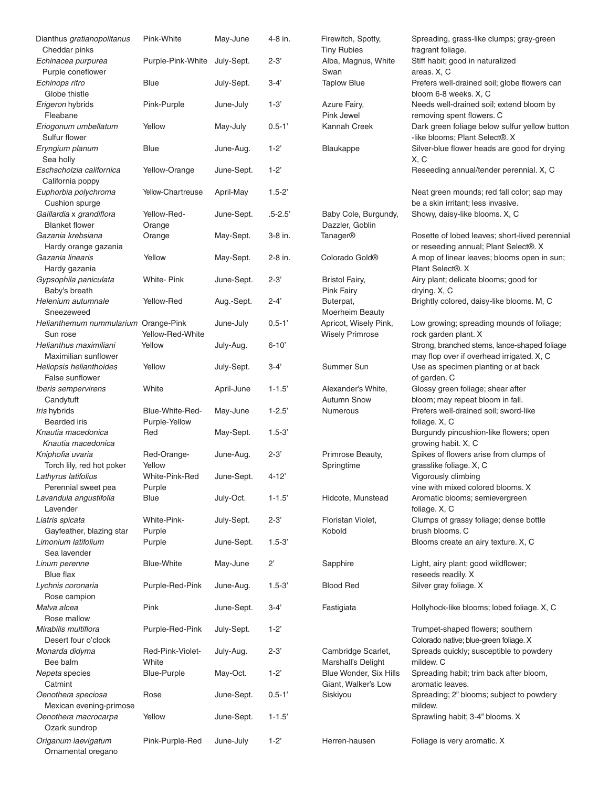| Dianthus gratianopolitanus<br>Cheddar pinks  | Pink-White         | May-June   | 4-8 in.     | Firewitch, Spotty,<br><b>Tiny Rubies</b> | Spreading, grass-like clumps; gray-green<br>fragrant foliage.                    |
|----------------------------------------------|--------------------|------------|-------------|------------------------------------------|----------------------------------------------------------------------------------|
| Echinacea purpurea                           | Purple-Pink-White  | July-Sept. | $2 - 3'$    | Alba, Magnus, White                      | Stiff habit; good in naturalized                                                 |
| Purple coneflower                            |                    |            |             | Swan                                     | areas. X, C                                                                      |
| Echinops ritro                               | <b>Blue</b>        | July-Sept. | $3-4'$      | <b>Taplow Blue</b>                       | Prefers well-drained soil; globe flowers can                                     |
| Globe thistle                                |                    |            |             |                                          | bloom 6-8 weeks. X, C                                                            |
| Erigeron hybrids<br>Fleabane                 | Pink-Purple        | June-July  | $1 - 3'$    | Azure Fairy,<br>Pink Jewel               | Needs well-drained soil; extend bloom by                                         |
| Eriogonum umbellatum                         | Yellow             | May-July   | $0.5 - 1'$  | Kannah Creek                             | removing spent flowers. C<br>Dark green foliage below sulfur yellow button       |
| Sulfur flower                                |                    |            |             |                                          | -like blooms; Plant Select®. X                                                   |
| Eryngium planum<br>Sea holly                 | Blue               | June-Aug.  | $1 - 2$     | Blaukappe                                | Silver-blue flower heads are good for drying<br>X, C                             |
| Eschscholzia californica<br>California poppy | Yellow-Orange      | June-Sept. | $1 - 2$     |                                          | Reseeding annual/tender perennial. X, C                                          |
| Euphorbia polychroma<br>Cushion spurge       | Yellow-Chartreuse  | April-May  | $1.5 - 2'$  |                                          | Neat green mounds; red fall color; sap may<br>be a skin irritant; less invasive. |
| Gaillardia x grandiflora                     | Yellow-Red-        | June-Sept. | $.5 - 2.5'$ | Baby Cole, Burgundy,                     | Showy, daisy-like blooms. X, C                                                   |
| <b>Blanket flower</b>                        | Orange             |            |             | Dazzler, Goblin                          |                                                                                  |
| Gazania krebsiana                            | Orange             | May-Sept.  | 3-8 in.     | Tanager®                                 | Rosette of lobed leaves; short-lived perennial                                   |
| Hardy orange gazania                         |                    |            |             |                                          | or reseeding annual; Plant Select®. X                                            |
| Gazania linearis                             | Yellow             | May-Sept.  | 2-8 in.     | Colorado Gold <sup>®</sup>               | A mop of linear leaves; blooms open in sun;                                      |
| Hardy gazania                                |                    |            |             |                                          | Plant Select <sup>®</sup> . X                                                    |
| Gypsophila paniculata                        | <b>White-Pink</b>  | June-Sept. | $2 - 3'$    | <b>Bristol Fairy,</b>                    | Airy plant; delicate blooms; good for                                            |
| Baby's breath                                |                    |            |             | <b>Pink Fairy</b>                        | drying. X, C                                                                     |
| Helenium autumnale                           | Yellow-Red         | Aug.-Sept. | $2 - 4'$    | Buterpat,                                | Brightly colored, daisy-like blooms. M, C                                        |
| Sneezeweed                                   |                    |            |             | Moerheim Beauty                          |                                                                                  |
| Helianthemum nummularium Orange-Pink         |                    | June-July  | $0.5 - 1'$  | Apricot, Wisely Pink,                    | Low growing; spreading mounds of foliage;                                        |
| Sun rose                                     | Yellow-Red-White   |            |             | <b>Wisely Primrose</b>                   | rock garden plant. X                                                             |
| Helianthus maximiliani                       | Yellow             | July-Aug.  | $6 - 10'$   |                                          | Strong, branched stems, lance-shaped foliage                                     |
| Maximilian sunflower                         |                    |            |             |                                          | may flop over if overhead irrigated. X, C                                        |
| Heliopsis helianthoides                      | Yellow             | July-Sept. | $3-4'$      | Summer Sun                               | Use as specimen planting or at back                                              |
| False sunflower                              |                    |            |             |                                          | of garden. C                                                                     |
| Iberis sempervirens                          | White              | April-June | $1 - 1.5'$  | Alexander's White,                       | Glossy green foliage; shear after                                                |
| Candytuft                                    |                    |            |             | <b>Autumn Snow</b>                       | bloom; may repeat bloom in fall.                                                 |
| Iris hybrids                                 | Blue-White-Red-    | May-June   | $1 - 2.5'$  | Numerous                                 | Prefers well-drained soil; sword-like                                            |
| <b>Bearded</b> iris                          | Purple-Yellow      |            |             |                                          | foliage. X, C                                                                    |
| Knautia macedonica                           | Red                | May-Sept.  | $1.5 - 3'$  |                                          | Burgundy pincushion-like flowers; open                                           |
| Knautia macedonica                           |                    |            |             |                                          | growing habit. X, C                                                              |
| Kniphofia uvaria                             | Red-Orange-        | June-Aug.  | $2 - 3'$    | Primrose Beauty,                         | Spikes of flowers arise from clumps of                                           |
| Torch lily, red hot poker                    | Yellow             |            |             | Springtime                               | grasslike foliage. X, C                                                          |
| Lathyrus latifolius                          | White-Pink-Red     | June-Sept. | $4 - 12$    |                                          | Vigorously climbing                                                              |
| Perennial sweet pea                          | Purple             |            |             |                                          | vine with mixed colored blooms. X                                                |
| Lavandula angustifolia                       | <b>Blue</b>        | July-Oct.  | $1 - 1.5'$  | Hidcote, Munstead                        | Aromatic blooms; semievergreen                                                   |
| Lavender                                     |                    |            |             |                                          | foliage. X, C                                                                    |
| Liatris spicata                              | White-Pink-        | July-Sept. | $2 - 3'$    | Floristan Violet,                        | Clumps of grassy foliage; dense bottle                                           |
| Gayfeather, blazing star                     | Purple             |            |             | Kobold                                   | brush blooms. C                                                                  |
| Limonium latifolium                          | Purple             | June-Sept. | $1.5 - 3'$  |                                          | Blooms create an airy texture. X, C                                              |
| Sea lavender                                 |                    |            |             |                                          |                                                                                  |
| Linum perenne                                | <b>Blue-White</b>  | May-June   | $2^{\circ}$ | Sapphire                                 | Light, airy plant; good wildflower;                                              |
| <b>Blue flax</b>                             |                    |            |             |                                          | reseeds readily. X                                                               |
| Lychnis coronaria                            | Purple-Red-Pink    | June-Aug.  | $1.5 - 3'$  | <b>Blood Red</b>                         | Silver gray foliage. X                                                           |
| Rose campion                                 |                    |            |             |                                          |                                                                                  |
| Malva alcea                                  | Pink               | June-Sept. | $3-4'$      | Fastigiata                               | Hollyhock-like blooms; lobed foliage. X, C                                       |
| Rose mallow                                  |                    |            |             |                                          |                                                                                  |
| Mirabilis multiflora                         | Purple-Red-Pink    | July-Sept. | $1-2$       |                                          | Trumpet-shaped flowers; southern                                                 |
| Desert four o'clock                          |                    |            |             |                                          | Colorado native; blue-green foliage. X                                           |
| Monarda didyma                               | Red-Pink-Violet-   | July-Aug.  | $2 - 3'$    | Cambridge Scarlet,                       | Spreads quickly; susceptible to powdery                                          |
| Bee balm                                     | White              |            |             | Marshall's Delight                       | mildew. C                                                                        |
| Nepeta species                               | <b>Blue-Purple</b> | May-Oct.   | $1-2$       | Blue Wonder, Six Hills                   | Spreading habit; trim back after bloom,                                          |
| Catmint                                      |                    |            |             | Giant, Walker's Low                      | aromatic leaves.                                                                 |
| Oenothera speciosa                           | Rose               | June-Sept. | $0.5 - 1'$  | Siskiyou                                 | Spreading; 2" blooms; subject to powdery                                         |
| Mexican evening-primose                      |                    |            |             |                                          | mildew.                                                                          |
| Oenothera macrocarpa                         | Yellow             | June-Sept. | $1 - 1.5'$  |                                          | Sprawling habit; 3-4" blooms. X                                                  |
| Ozark sundrop                                |                    |            |             |                                          |                                                                                  |
| Origanum laevigatum                          | Pink-Purple-Red    | June-July  | $1-2"$      | Herren-hausen                            | Foliage is very aromatic. X                                                      |
| Ornamental oregano                           |                    |            |             |                                          |                                                                                  |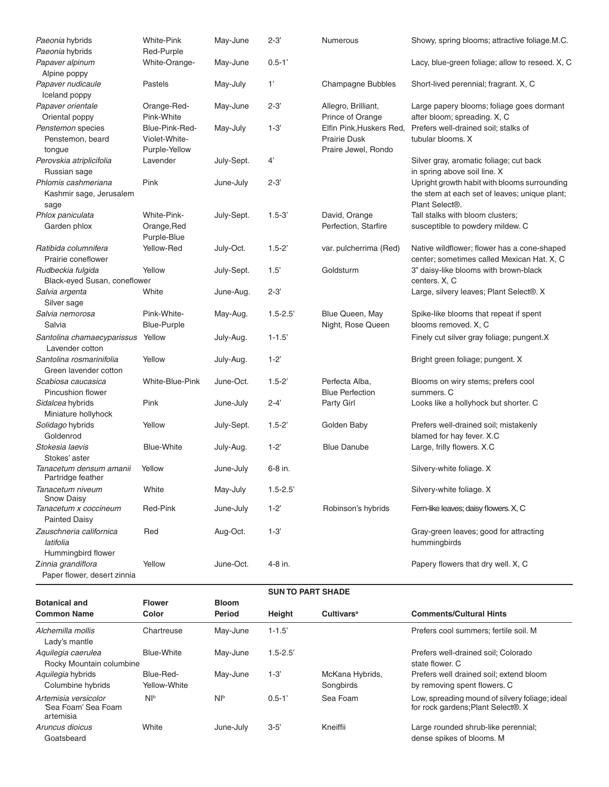| Paeonia hybrids                                                           | <b>White-Pink</b>                         | May-June               | $2 - 3'$                 | Numerous                                        | Showy, spring blooms; attractive foliage.M.C.                                                                   |  |  |
|---------------------------------------------------------------------------|-------------------------------------------|------------------------|--------------------------|-------------------------------------------------|-----------------------------------------------------------------------------------------------------------------|--|--|
| Paeonia hybrids                                                           | Red-Purple                                |                        |                          |                                                 |                                                                                                                 |  |  |
| Papaver alpinum<br>Alpine poppy                                           | White-Orange-                             | May-June               | $0.5 - 1'$               |                                                 | Lacy, blue-green foliage; allow to reseed. X, C                                                                 |  |  |
| Papaver nudicaule<br>Iceland poppy                                        | Pastels                                   | May-July               | 1'                       | Champagne Bubbles                               | Short-lived perennial; fragrant. X, C                                                                           |  |  |
| Papaver orientale                                                         | Orange-Red-                               | May-June               | $2 - 3'$                 | Allegro, Brilliant,                             | Large papery blooms; foliage goes dormant                                                                       |  |  |
| Oriental poppy                                                            | Pink-White                                |                        |                          | Prince of Orange                                | after bloom; spreading. X, C                                                                                    |  |  |
| Penstemon species<br>Penstemon, beard                                     | Blue-Pink-Red-<br>Violet-White-           | May-July               | $1-3'$                   | Elfin Pink, Huskers Red,<br><b>Prairie Dusk</b> | Prefers well-drained soil; stalks of<br>tubular blooms. X                                                       |  |  |
| tongue                                                                    | Purple-Yellow                             |                        |                          | Praire Jewel, Rondo                             |                                                                                                                 |  |  |
| Perovskia atriplicifolia<br>Russian sage                                  | Lavender                                  | July-Sept.             | 4'                       |                                                 | Silver gray, aromatic foliage; cut back<br>in spring above soil line. X                                         |  |  |
| Phlomis cashmeriana<br>Kashmir sage, Jerusalem<br>sage                    | Pink                                      | June-July              | $2 - 3'$                 |                                                 | Upright growth habit with blooms surrounding<br>the stem at each set of leaves; unique plant;<br>Plant Select®. |  |  |
| Phlox paniculata<br>Garden phlox                                          | White-Pink-<br>Orange, Red<br>Purple-Blue | July-Sept.             | $1.5 - 3'$               | David, Orange<br>Perfection, Starfire           | Tall stalks with bloom clusters;<br>susceptible to powdery mildew. C                                            |  |  |
| Ratibida columnifera<br>Prairie coneflower                                | Yellow-Red                                | July-Oct.              | $1.5 - 2'$               | var. pulcherrima (Red)                          | Native wildflower; flower has a cone-shaped<br>center; sometimes called Mexican Hat. X, C                       |  |  |
| Rudbeckia fulgida                                                         | Yellow                                    | July-Sept.             | 1.5'                     | Goldsturm                                       | 3" daisy-like blooms with brown-black                                                                           |  |  |
| Black-eyed Susan, coneflower                                              |                                           |                        |                          |                                                 | centers. X, C                                                                                                   |  |  |
| Salvia argenta<br>Silver sage                                             | White                                     | June-Aug.              | $2 - 3'$                 |                                                 | Large, silvery leaves; Plant Select®. X                                                                         |  |  |
| Salvia nemorosa                                                           | Pink-White-                               | May-Aug.               | $1.5 - 2.5'$             | Blue Queen, May                                 | Spike-like blooms that repeat if spent                                                                          |  |  |
| Salvia                                                                    | <b>Blue-Purple</b>                        |                        |                          | Night, Rose Queen                               | blooms removed. X, C                                                                                            |  |  |
| Santolina chamaecyparissus<br>Lavender cotton<br>Santolina rosmarinifolia | Yellow<br>Yellow                          | July-Aug.              | $1 - 1.5'$<br>$1 - 2'$   |                                                 | Finely cut silver gray foliage; pungent.X                                                                       |  |  |
| Green lavender cotton                                                     |                                           | July-Aug.              |                          |                                                 | Bright green foliage; pungent. X                                                                                |  |  |
| Scabiosa caucasica<br><b>Pincushion flower</b>                            | White-Blue-Pink                           | June-Oct.              | $1.5 - 2'$               | Perfecta Alba,<br><b>Blue Perfection</b>        | Blooms on wiry stems; prefers cool<br>summers. C                                                                |  |  |
| Sidalcea hybrids<br>Miniature hollyhock                                   | Pink                                      | June-July              | $2 - 4'$                 | Party Girl                                      | Looks like a hollyhock but shorter. C                                                                           |  |  |
| Solidago hybrids<br>Goldenrod                                             | Yellow                                    | July-Sept.             | $1.5 - 2'$               | Golden Baby                                     | Prefers well-drained soil; mistakenly<br>blamed for hay fever. X.C                                              |  |  |
| Stokesia laevis<br>Stokes' aster                                          | <b>Blue-White</b>                         | July-Aug.              | $1 - 2$                  | <b>Blue Danube</b>                              | Large, frilly flowers. X.C                                                                                      |  |  |
| Tanacetum densum amanii<br>Partridge feather                              | Yellow                                    | June-July              | 6-8 in.                  |                                                 | Silvery-white foliage. X                                                                                        |  |  |
| Tanacetum niveum<br><b>Snow Daisy</b>                                     | White                                     | May-July               | $1.5 - 2.5'$             |                                                 | Silvery-white foliage. X                                                                                        |  |  |
| Tanacetum x coccineum<br><b>Painted Daisy</b>                             | Red-Pink                                  | June-July              | $1-2"$                   | Robinson's hybrids                              | Fern-like leaves; daisy flowers. X, C                                                                           |  |  |
| Zauschneria californica<br>latifolia<br>Hummingbird flower                | Red                                       | Aug-Oct.               | $1 - 3'$                 |                                                 | Gray-green leaves; good for attracting<br>hummingbirds                                                          |  |  |
| Zinnia grandiflora<br>Paper flower, desert zinnia                         | Yellow                                    | June-Oct.              | 4-8 in.                  |                                                 | Papery flowers that dry well. X, C                                                                              |  |  |
|                                                                           |                                           |                        | <b>SUN TO PART SHADE</b> |                                                 |                                                                                                                 |  |  |
| <b>Botanical and</b><br><b>Common Name</b>                                | <b>Flower</b><br>Color                    | <b>Bloom</b><br>Period | Height                   | <b>Cultivars<sup>a</sup></b>                    | <b>Comments/Cultural Hints</b>                                                                                  |  |  |
| Alchemilla mollis<br>Lady's mantle                                        | Chartreuse                                | May-June               | $1 - 1.5'$               |                                                 | Prefers cool summers; fertile soil. M                                                                           |  |  |
| Aquilegia caerulea<br>Rocky Mountain columbine                            | <b>Blue-White</b>                         | May-June               | $1.5 - 2.5$              |                                                 | Prefers well-drained soil; Colorado<br>state flower. C                                                          |  |  |
| Aquilegia hybrids<br>Columbine hybrids                                    | Blue-Red-<br>Yellow-White                 | May-June               | $1 - 3'$                 | McKana Hybrids,<br>Songbirds                    | Prefers well drained soil; extend bloom<br>by removing spent flowers. C                                         |  |  |
| Artemisia versicolor<br>'Sea Foam' Sea Foam<br>artemisia                  | Nl <sub>b</sub>                           | N <sup>b</sup>         | $0.5 - 1'$               | Sea Foam                                        | Low, spreading mound of silvery foliage; ideal<br>for rock gardens; Plant Select®. X                            |  |  |
| Aruncus dioicus<br>Goatsbeard                                             | White                                     | June-July              | $3 - 5'$                 | Kneiffii                                        | Large rounded shrub-like perennial;<br>dense spikes of blooms. M                                                |  |  |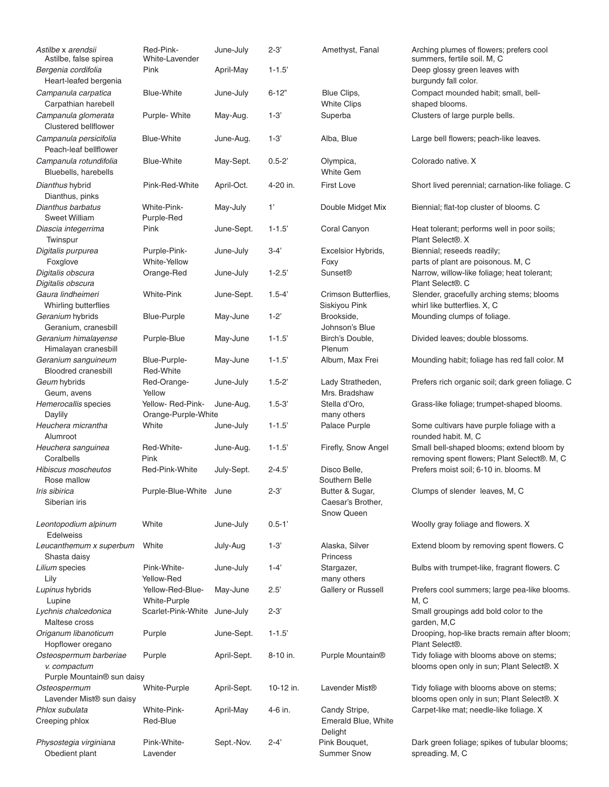| Astilbe x arendsii<br>Astilbe, false spirea     | Red-Pink-<br>White-Lavender | June-July   | $2 - 3'$   | Amethyst, Fanal                                    | Arching plumes of flowers; prefers cool<br>summers, fertile soil. M, C                |
|-------------------------------------------------|-----------------------------|-------------|------------|----------------------------------------------------|---------------------------------------------------------------------------------------|
| Bergenia cordifolia<br>Heart-leafed bergenia    | Pink                        | April-May   | $1 - 1.5'$ |                                                    | Deep glossy green leaves with<br>burgundy fall color.                                 |
| Campanula carpatica                             | <b>Blue-White</b>           | June-July   | $6 - 12"$  | Blue Clips,                                        | Compact mounded habit; small, bell-                                                   |
| Carpathian harebell                             |                             |             |            | <b>White Clips</b>                                 | shaped blooms.                                                                        |
| Campanula glomerata<br>Clustered bellflower     | Purple- White               | May-Aug.    | $1-3'$     | Superba                                            | Clusters of large purple bells.                                                       |
| Campanula persicifolia<br>Peach-leaf bellflower | <b>Blue-White</b>           | June-Aug.   | $1 - 3'$   | Alba, Blue                                         | Large bell flowers; peach-like leaves.                                                |
| Campanula rotundifolia<br>Bluebells, harebells  | <b>Blue-White</b>           | May-Sept.   | $0.5 - 2'$ | Olympica,<br><b>White Gem</b>                      | Colorado native. X                                                                    |
| Dianthus hybrid                                 | Pink-Red-White              | April-Oct.  | 4-20 in.   | <b>First Love</b>                                  | Short lived perennial; carnation-like foliage. C                                      |
| Dianthus, pinks<br>Dianthus barbatus            | White-Pink-                 | May-July    | 1'         | Double Midget Mix                                  | Biennial; flat-top cluster of blooms. C                                               |
| <b>Sweet William</b>                            | Purple-Red                  |             |            |                                                    |                                                                                       |
| Diascia integerrima<br>Twinspur                 | Pink                        | June-Sept.  | $1 - 1.5'$ | Coral Canyon                                       | Heat tolerant; performs well in poor soils;<br>Plant Select®. X                       |
| Digitalis purpurea                              | Purple-Pink-                | June-July   | $3-4'$     | Excelsior Hybrids,                                 | Biennial; reseeds readily;                                                            |
| Foxglove                                        | White-Yellow                |             |            | Foxy                                               | parts of plant are poisonous. M, C                                                    |
| Digitalis obscura<br>Digitalis obscura          | Orange-Red                  | June-July   | $1 - 2.5'$ | <b>Sunset®</b>                                     | Narrow, willow-like foliage; heat tolerant;<br>Plant Select®. C                       |
| Gaura lindheimeri<br>Whirling butterflies       | <b>White-Pink</b>           | June-Sept.  | $1.5 - 4'$ | Crimson Butterflies,<br>Siskiyou Pink              | Slender, gracefully arching stems; blooms<br>whirl like butterflies. X, C             |
| Geranium hybrids<br>Geranium, cranesbill        | Blue-Purple                 | May-June    | $1-2"$     | Brookside,<br>Johnson's Blue                       | Mounding clumps of foliage.                                                           |
| Geranium himalayense<br>Himalayan cranesbill    | Purple-Blue                 | May-June    | $1 - 1.5'$ | Birch's Double,<br>Plenum                          | Divided leaves; double blossoms.                                                      |
| Geranium sanguineum                             | Blue-Purple-                | May-June    | $1 - 1.5'$ | Album, Max Frei                                    | Mounding habit; foliage has red fall color. M                                         |
| <b>Bloodred cranesbill</b>                      | Red-White                   |             |            |                                                    |                                                                                       |
| Geum hybrids<br>Geum, avens                     | Red-Orange-<br>Yellow       | June-July   | $1.5 - 2'$ | Lady Stratheden,<br>Mrs. Bradshaw                  | Prefers rich organic soil; dark green foliage. C                                      |
| Hemerocallis species                            | Yellow- Red-Pink-           | June-Aug.   | $1.5 - 3'$ | Stella d'Oro,                                      | Grass-like foliage; trumpet-shaped blooms.                                            |
| Daylily                                         | Orange-Purple-White         |             |            | many others                                        |                                                                                       |
| Heuchera micrantha<br>Alumroot                  | White                       | June-July   | $1 - 1.5'$ | Palace Purple                                      | Some cultivars have purple foliage with a<br>rounded habit. M, C                      |
| Heuchera sanguinea                              | Red-White-                  | June-Aug.   | $1 - 1.5'$ | Firefly, Snow Angel                                | Small bell-shaped blooms; extend bloom by                                             |
| Coralbells                                      | Pink                        |             |            |                                                    | removing spent flowers; Plant Select®. M, C                                           |
| <b>Hibiscus moscheutos</b>                      | Red-Pink-White              | July-Sept.  | $2 - 4.5'$ | Disco Belle,                                       | Prefers moist soil; 6-10 in. blooms. M                                                |
| Rose mallow                                     |                             |             |            | Southern Belle                                     |                                                                                       |
| Iris sibirica<br>Siberian iris                  | Purple-Blue-White June      |             | $2 - 3'$   | Butter & Sugar,<br>Caesar's Brother,<br>Snow Queen | Clumps of slender leaves, M, C                                                        |
| Leontopodium alpinum                            | White                       | June-July   | $0.5 - 1'$ |                                                    | Woolly gray foliage and flowers. X                                                    |
| <b>Edelweiss</b>                                |                             |             |            |                                                    |                                                                                       |
| Leucanthemum x superbum<br>Shasta daisy         | White                       | July-Aug    | $1 - 3'$   | Alaska, Silver<br>Princess                         | Extend bloom by removing spent flowers. C                                             |
| Lilium species                                  | Pink-White-                 | June-July   | $1 - 4'$   | Stargazer,                                         | Bulbs with trumpet-like, fragrant flowers. C                                          |
| Lily                                            | Yellow-Red                  |             |            | many others                                        |                                                                                       |
| Lupinus hybrids                                 | Yellow-Red-Blue-            | May-June    | 2.5'       | Gallery or Russell                                 | Prefers cool summers; large pea-like blooms.                                          |
| Lupine                                          | White-Purple                |             |            |                                                    | M, C                                                                                  |
| Lychnis chalcedonica<br>Maltese cross           | Scarlet-Pink-White          | June-July   | $2 - 3'$   |                                                    | Small groupings add bold color to the<br>garden, M,C                                  |
| Origanum libanoticum<br>Hopflower oregano       | Purple                      | June-Sept.  | $1 - 1.5'$ |                                                    | Drooping, hop-like bracts remain after bloom;<br>Plant Select®.                       |
| Osteospermum barberiae<br>v. compactum          | Purple                      | April-Sept. | 8-10 in.   | Purple Mountain <sup>®</sup>                       | Tidy foliage with blooms above on stems;<br>blooms open only in sun; Plant Select®. X |
| Purple Mountain® sun daisy                      |                             |             |            |                                                    |                                                                                       |
| Osteospermum<br>Lavender Mist® sun daisy        | White-Purple                | April-Sept. | 10-12 in.  | Lavender Mist <sup>®</sup>                         | Tidy foliage with blooms above on stems;<br>blooms open only in sun; Plant Select®. X |
| Phlox subulata                                  | White-Pink-                 | April-May   | 4-6 in.    | Candy Stripe,                                      | Carpet-like mat; needle-like foliage. X                                               |
| Creeping phlox                                  | Red-Blue                    |             |            | Emerald Blue, White<br>Delight                     |                                                                                       |
| Physostegia virginiana<br>Obedient plant        | Pink-White-<br>Lavender     | Sept.-Nov.  | $2 - 4'$   | Pink Bouquet,<br><b>Summer Snow</b>                | Dark green foliage; spikes of tubular blooms;<br>spreading. M, C                      |